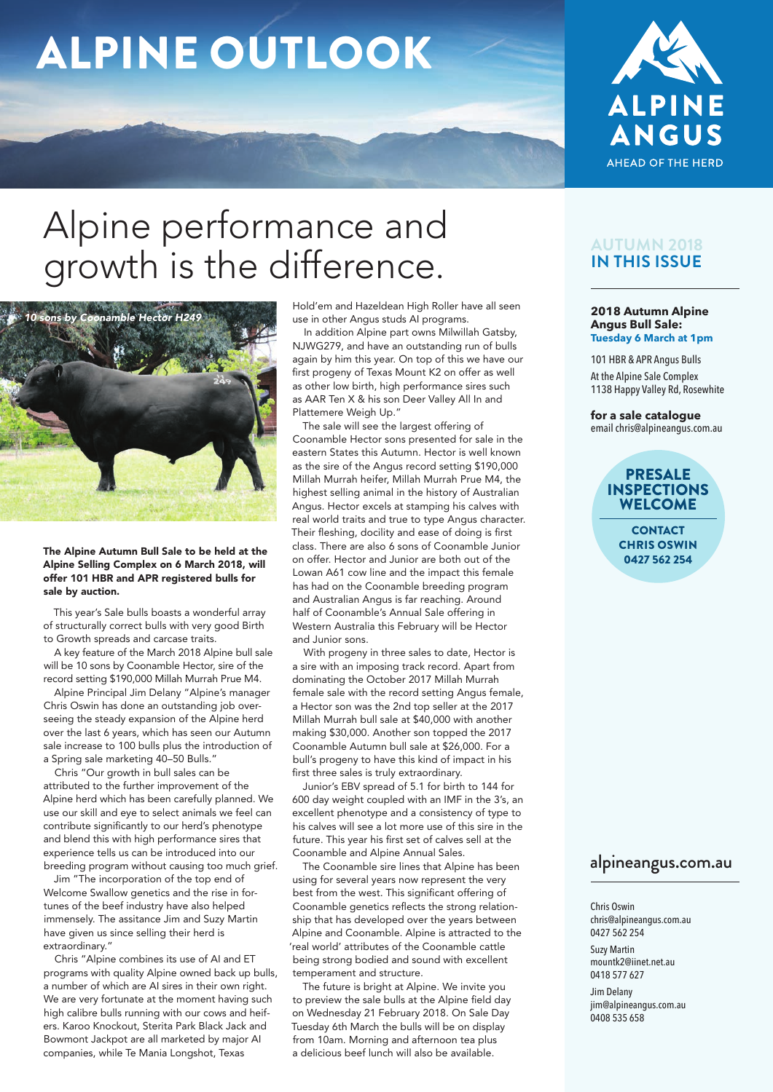# ALPINE OUTLOOK



# Alpine performance and growth is the difference.



The Alpine Autumn Bull Sale to be held at the Alpine Selling Complex on 6 March 2018, will offer 101 HBR and APR registered bulls for sale by auction.

This year's Sale bulls boasts a wonderful array of structurally correct bulls with very good Birth to Growth spreads and carcase traits.

A key feature of the March 2018 Alpine bull sale will be 10 sons by Coonamble Hector, sire of the record setting \$190,000 Millah Murrah Prue M4.

Alpine Principal Jim Delany "Alpine's manager Chris Oswin has done an outstanding job overseeing the steady expansion of the Alpine herd over the last 6 years, which has seen our Autumn sale increase to 100 bulls plus the introduction of a Spring sale marketing 40–50 Bulls."

Chris "Our growth in bull sales can be attributed to the further improvement of the Alpine herd which has been carefully planned. We use our skill and eye to select animals we feel can contribute significantly to our herd's phenotype and blend this with high performance sires that experience tells us can be introduced into our breeding program without causing too much grief.

Jim "The incorporation of the top end of Welcome Swallow genetics and the rise in fortunes of the beef industry have also helped immensely. The assitance Jim and Suzy Martin have given us since selling their herd is extraordinary."

Chris "Alpine combines its use of AI and ET programs with quality Alpine owned back up bulls, a number of which are AI sires in their own right. We are very fortunate at the moment having such high calibre bulls running with our cows and heifers. Karoo Knockout, Sterita Park Black Jack and Bowmont Jackpot are all marketed by major AI companies, while Te Mania Longshot, Texas

Hold'em and Hazeldean High Roller have all seen use in other Angus studs AI programs.

In addition Alpine part owns Milwillah Gatsby, NJWG279, and have an outstanding run of bulls again by him this year. On top of this we have our first progeny of Texas Mount K2 on offer as well as other low birth, high performance sires such as AAR Ten X & his son Deer Valley All In and Plattemere Weigh Up."

The sale will see the largest offering of Coonamble Hector sons presented for sale in the eastern States this Autumn. Hector is well known as the sire of the Angus record setting \$190,000 Millah Murrah heifer, Millah Murrah Prue M4, the highest selling animal in the history of Australian Angus. Hector excels at stamping his calves with real world traits and true to type Angus character. Their fleshing, docility and ease of doing is first class. There are also 6 sons of Coonamble Junior on offer. Hector and Junior are both out of the Lowan A61 cow line and the impact this female has had on the Coonamble breeding program and Australian Angus is far reaching. Around half of Coonamble's Annual Sale offering in Western Australia this February will be Hector and Junior sons.

With progeny in three sales to date, Hector is a sire with an imposing track record. Apart from dominating the October 2017 Millah Murrah female sale with the record setting Angus female, a Hector son was the 2nd top seller at the 2017 Millah Murrah bull sale at \$40,000 with another making \$30,000. Another son topped the 2017 Coonamble Autumn bull sale at \$26,000. For a bull's progeny to have this kind of impact in his first three sales is truly extraordinary.

Junior's EBV spread of 5.1 for birth to 144 for 600 day weight coupled with an IMF in the 3's, an excellent phenotype and a consistency of type to his calves will see a lot more use of this sire in the future. This year his first set of calves sell at the Coonamble and Alpine Annual Sales.

The Coonamble sire lines that Alpine has been using for several years now represent the very best from the west. This significant offering of Coonamble genetics reflects the strong relationship that has developed over the years between Alpine and Coonamble. Alpine is attracted to the 'real world' attributes of the Coonamble cattle being strong bodied and sound with excellent temperament and structure.

The future is bright at Alpine. We invite you to preview the sale bulls at the Alpine field day on Wednesday 21 February 2018. On Sale Day Tuesday 6th March the bulls will be on display from 10am. Morning and afternoon tea plus a delicious beef lunch will also be available.

#### **AUTUMN 2018 IN THIS ISSUE**

#### **2018 Autumn Alpine Angus Bull Sale: Tuesday 6 March at 1pm**

101 HBR & APR Angus Bulls At the Alpine Sale Complex 1138 Happy Valley Rd, Rosewhite

**for a sale catalogue**  email chris@alpineangus.com.au

#### PRESALE INSPECTIONS WELCOME

**CONTACT** CHRIS OSWIN 0427 562 254

#### alpineangus.com.au

Chris Oswin chris@alpineangus.com.au 0427 562 254 Suzy Martin mountk2@iinet.net.au

0418 577 627 Jim Delany jim@alpineangus.com.au 0408 535 658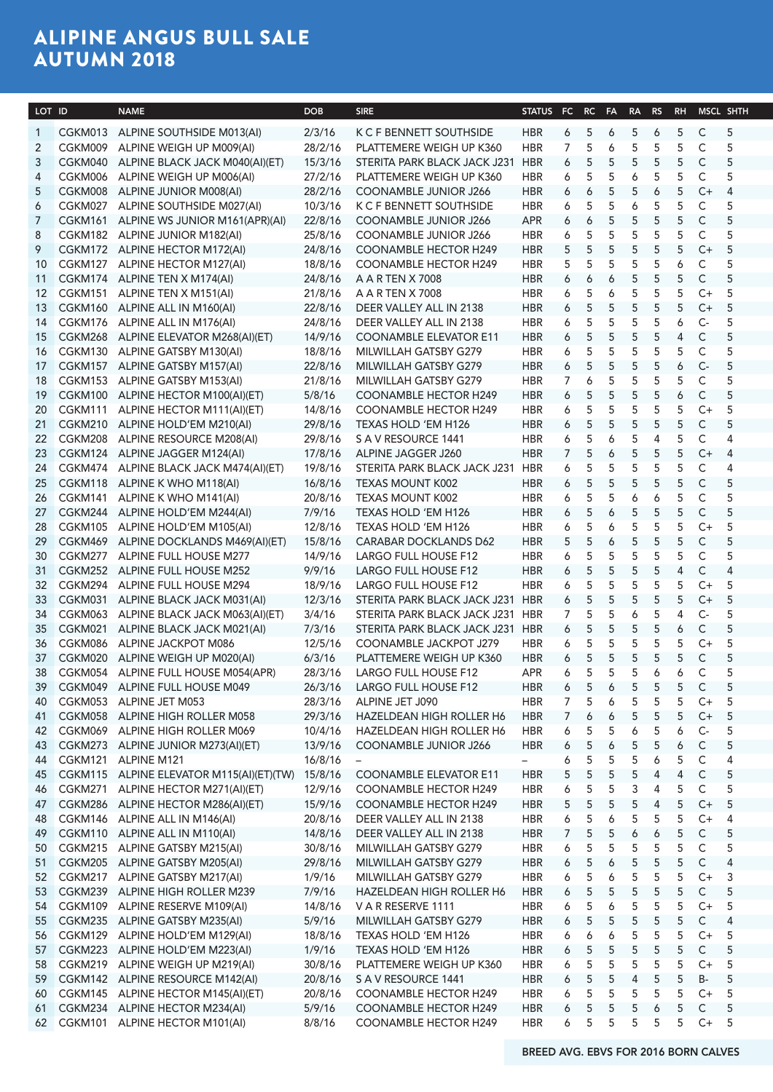# ALIPINE ANGUS BULL SALE AUTUMN 2018

| LOT ID         |            | <b>NAME</b>                                         | <b>DOB</b> | <b>SIRE</b>                      | STATUS FC RC FA RA RS RH MSCL SHTH |                   |             |                |           |                |                   |                |  |
|----------------|------------|-----------------------------------------------------|------------|----------------------------------|------------------------------------|-------------------|-------------|----------------|-----------|----------------|-------------------|----------------|--|
| $\overline{1}$ | CGKM013    | ALPINE SOUTHSIDE M013(AI)                           | 2/3/16     | K C F BENNETT SOUTHSIDE          | HBR                                | 5<br>6            |             | 6 5            | 6         | 5 C            |                   | - 5            |  |
| $\overline{2}$ | CGKM009    | ALPINE WEIGH UP M009(AI)                            | 28/2/16    | PLATTEMERE WEIGH UP K360         | <b>HBR</b>                         | -5                | 6           | - 5            | - 5       | 5              | C.                | - 5            |  |
| $\overline{3}$ | CGKM040    | ALPINE BLACK JACK M040(AI)(ET)                      | 15/3/16    | STERITA PARK BLACK JACK J231     | HBR                                | -5<br>6           | -5          | -5             | -5        | -5             | $\mathsf{C}$      | -5             |  |
| 4              | CGKM006    | ALPINE WEIGH UP M006(AI)                            | 27/2/16    | PLATTEMERE WEIGH UP K360         | <b>HBR</b>                         | -5<br>6           | - 5         | 6              | -5        | -5             | C.                | - 5            |  |
| -5             | CGKM008    | ALPINE JUNIOR M008(AI)                              | 28/2/16    | COONAMBLE JUNIOR J266            | <b>HBR</b>                         | 6                 | - 5<br>6    | 5              | 6         | 5              | $C+4$             |                |  |
| 6              | CGKM027    | ALPINE SOUTHSIDE M027(AI)                           | 10/3/16    | K C F BENNETT SOUTHSIDE          | <b>HBR</b>                         | - 5<br>6          | - 5         | 6              | - 5       | 5              | $\mathsf{C}$      | - 5            |  |
|                | CGKM161    | ALPINE WS JUNIOR M161(APR)(AI                       | 22/8/16    | <b>COONAMBLE JUNIOR J266</b>     | <b>APR</b>                         | 6                 | - 5<br>6    | 5 <sub>2</sub> | $-5$      | 5 <sub>5</sub> | $\mathsf{C}$      | - 5            |  |
| 8              |            | CGKM182 ALPINE JUNIOR M182(AI)                      | 25/8/16    | <b>COONAMBLE JUNIOR J266</b>     | <b>HBR</b>                         | - 5<br>6          | - 5         | 5              | - 5       | 5              | $\mathsf{C}$      | - 5            |  |
| -9             | CGKM172    | ALPINE HECTOR M172(AI)                              | 24/8/16    | <b>COONAMBLE HECTOR H249</b>     | <b>HBR</b>                         | -5<br>- 5         | - 5         | 5              | - 5       | - 5            | $C++$             | - 5            |  |
|                | 10 CGKM127 | ALPINE HECTOR M127(AI)                              | 18/8/16    | <b>COONAMBLE HECTOR H249</b>     | <b>HBR</b>                         |                   | -5          | -5             |           |                |                   | -5             |  |
|                | 11 CGKM174 | ALPINE TEN X M174(AI)                               | 24/8/16    | A A R TEN X 7008                 | <b>HBR</b>                         | 6<br><sup>6</sup> | 6           | -5             | -5        | -5             | <sub>c</sub>      | - 5            |  |
|                | 12 CGKM151 | ALPINE TEN X M151(AI)                               | 21/8/16    | A A R TEN X 7008                 | <b>HBR</b>                         | -5<br>6           | 6           | -5             | -5        | -5             | $C+$ 5            |                |  |
|                | 13 CGKM160 | ALPINE ALL IN M160(AI)                              | 22/8/16    | DEER VALLEY ALL IN 2138          | <b>HBR</b>                         | -5<br>6           | 5           | $5^{\circ}$    | - 5       | 5              | $C+$ 5            |                |  |
|                | 14 CGKM176 | ALPINE ALL IN M176(AI)                              | 24/8/16    | DEER VALLEY ALL IN 2138          | <b>HBR</b>                         | 6                 | - 5<br>- 5  | 5              | - 5       | 6              | $C-$              | - 5            |  |
|                | 15 CGKM268 | ALPINE ELEVATOR M268(AI)(ET)                        | 14/9/16    | <b>COONAMBLE ELEVATOR E11</b>    | <b>HBR</b>                         | 6                 | - 5<br>5    | 5 <sup>5</sup> | - 5       | 4              | $\mathsf{C}$      | - 5            |  |
|                |            | 16 CGKM130 ALPINE GATSBY M130(AI)                   | 18/8/16    | MILWILLAH GATSBY G279            | <b>HBR</b>                         | - 5<br>6          | - 5         | - 5            | - 5       | -5             | - C               |                |  |
|                | 17 CGKM157 | ALPINE GATSBY M157(AI)                              | 22/8/16    | MILWILLAH GATSBY G279            | <b>HBR</b>                         | -5<br>6           | - 5         | - 5            | - 5       | 6              | $C-$              | - 5            |  |
|                | 18 CGKM153 | ALPINE GATSBY M153(AI)                              | 21/8/16    | MILWILLAH GATSBY G279            | <b>HBR</b>                         |                   | -5          | -5             | -5        | 5              | <sub>C</sub>      |                |  |
|                | 19 CGKM100 | ALPINE HECTOR M100(AI)(ET)                          | 5/8/16     | <b>COONAMBLE HECTOR H249</b>     | <b>HBR</b>                         | 6                 | - 5         | -5             | -5        | 6              | <sub>C</sub>      | - 5            |  |
|                | 20 CGKM111 | ALPINE HECTOR M111(AI)(ET)                          | 14/8/16    | <b>COONAMBLE HECTOR H249</b>     | <b>HBR</b>                         | -5<br>6           | - 5         | -5             | - 5       | -5             | $C+$ 5            |                |  |
|                | 21 CGKM210 | ALPINE HOLD'EM M210(AI)                             | 29/8/16    | <b>TEXAS HOLD 'EM H126</b>       | <b>HBR</b>                         | -5<br>6           | - 5         | 5              | - 5       | 5              | C.                | 5              |  |
|                |            |                                                     |            |                                  |                                    |                   |             |                |           |                |                   |                |  |
|                | 22 CGKM208 | ALPINE RESOURCE M208(AI)                            | 29/8/16    | S A V RESOURCE 1441              | <b>HBR</b>                         | -5                | 6           | - 5            | -4        | 5 C            |                   | - 4            |  |
|                | 23 CGKM124 | ALPINE JAGGER M124(AI)                              | 17/8/16    | ALPINE JAGGER J260               | <b>HBR</b>                         | -5                | 6           | 5              | 5         |                | 5 C+ 4            |                |  |
|                | 24 CGKM474 | ALPINE BLACK JACK M474(AI)(ET                       | 19/8/16    | STERITA PARK BLACK JACK J231 HBR |                                    | -5<br>6           | - 5         | - 5            | - 5       | 5              | C.                |                |  |
|                | 25 CGKM118 | ALPINE K WHO M118(AI)                               | 16/8/16    | <b>TEXAS MOUNT K002</b>          | <b>HBR</b>                         | -5<br>-6          | - 5         | -5             | - 5       | 5              | C.                | - 5            |  |
|                | 26 CGKM141 | ALPINE K WHO M141(AI)                               | 20/8/16    | <b>TEXAS MOUNT K002</b>          | <b>HBR</b>                         |                   |             |                |           |                |                   | -5             |  |
|                | 27 CGKM244 | ALPINE HOLD'EM M244(AI)                             | 7/9/16     | TEXAS HOLD 'EM H126              | <b>HBR</b>                         | -5<br>6           | 6           | -5             | -5        | -5             | <sub>c</sub>      | - 5            |  |
|                | 28 CGKM105 | ALPINE HOLD'EM M105(AI)                             | 12/8/16    | TEXAS HOLD 'EM H126              | <b>HBR</b>                         | -5<br>6           | 6           | -5             | -5        | 5              | $C+$ 5            |                |  |
|                | 29 CGKM469 | ALPINE DOCKLANDS M469(AI)(ET)                       | 15/8/16    | <b>CARABAR DOCKLANDS D62</b>     | <b>HBR</b>                         | -5<br>-5          | 6           | 5              | - 5       | 5              | C.                | - 5            |  |
|                | 30 CGKM277 | ALPINE FULL HOUSE M277                              | 14/9/16    | LARGO FULL HOUSE F12             | <b>HBR</b>                         | 6                 | -5<br>- 5   | 5              | -5        | 5              | $\mathsf{C}$      | - 5            |  |
|                | 31 CGKM252 | ALPINE FULL HOUSE M252                              | 9/9/16     | LARGO FULL HOUSE F12             | <b>HBR</b>                         | 6                 | - 5<br>- 5  | 5              | - 5       | 4              | C.                |                |  |
|                | 32 CGKM294 | ALPINE FULL HOUSE M294                              | 18/9/16    | LARGO FULL HOUSE F12             | <b>HBR</b>                         | - 5               | - 5         | - 5            | - 5       | -5             | C+ 5              |                |  |
|                | 33 CGKM031 | ALPINE BLACK JACK M031(AI)                          | 12/3/16    | STERITA PARK BLACK JACK J231 HBR |                                    | 5<br>6            | - 5         | - 5            | - 5       | 5              | C+                | - 5            |  |
|                | 34 CGKM063 | ALPINE BLACK JACK M063(AI)(ET                       | 3/4/16     | STERITA PARK BLACK JACK J231 HBR |                                    | -5                | -5          | -6             |           |                |                   |                |  |
|                | 35 CGKM021 | ALPINE BLACK JACK M021(AI)                          | 7/3/16     | STERITA PARK BLACK JACK J231 HBR |                                    | 6                 | -5          | -5             | -5        | 6              | C                 | - 5            |  |
|                | 36 CGKM086 | ALPINE JACKPOT M086                                 | 12/5/16    | COONAMBLE JACKPOT J279           | <b>HBR</b>                         | -5<br>6           | - 5         | -5             | -5        | -5             | $C+ 5$            |                |  |
|                | 37 CGKM020 | ALPINE WEIGH UP M020(AI)                            | 6/3/16     | PLATTEMERE WEIGH UP K360         | <b>HBR</b>                         | -5<br>6           | - 5         | 5              | - 5       | -5             | <sub>C</sub>      | - 5            |  |
|                | 38 CGKM054 | ALPINE FULL HOUSE M054(APR)                         | 28/3/16    | LARGO FULL HOUSE F12             | APR.                               | 6                 | 5 5 5 6 6 C |                |           |                |                   | $-5$           |  |
|                |            | 39 CGKM049 ALPINE FULL HOUSE M049                   | 26/3/16    | LARGO FULL HOUSE F12             | <b>HBR</b>                         | 6                 | 5 6 5 5 5 C |                |           |                |                   | $5^{\circ}$    |  |
|                |            | 40 CGKM053 ALPINE JET M053                          |            | 28/3/16 ALPINE JET J090          | <b>HBR</b>                         |                   |             |                |           |                | 7 5 6 5 5 5 C + 5 |                |  |
|                |            | 41 CGKM058 ALPINE HIGH ROLLER M058                  | 29/3/16    | HAZELDEAN HIGH ROLLER H6         | <b>HBR</b>                         | 7                 | 6           | 6 5 5          |           | $5^{\circ}$    | $C+$ 5            |                |  |
|                |            | 42 CGKM069 ALPINE HIGH ROLLER M069                  | 10/4/16    | HAZELDEAN HIGH ROLLER H6         | <b>HBR</b>                         | - 5<br>6          | 5           | 6              | - 5       | 6              | $C-$<br>5         |                |  |
|                |            | 43 CGKM273 ALPINE JUNIOR M273(AI)(ET)               | 13/9/16    | COONAMBLE JUNIOR J266            | <b>HBR</b>                         | -5<br>6           |             | 6 5            | $-5$      | 6              | $\mathsf{C}$      | 5              |  |
|                |            | 44 CGKM121 ALPINE M121                              | 16/8/16    |                                  | $-$                                | 6                 | 5           |                | 5 5 6     | 5 C            |                   | 4              |  |
|                |            | 45 CGKM115 ALPINE ELEVATOR M115(AI)(ET)(TW) 15/8/16 |            | <b>COONAMBLE ELEVATOR E11</b>    | <b>HBR</b>                         |                   | 5           |                | 5 5 4 4 C |                |                   |                |  |
|                |            |                                                     |            |                                  |                                    | -5                |             |                |           |                |                   | $-5$           |  |
|                |            | 46 CGKM271 ALPINE HECTOR M271(AI)(ET)               | 12/9/16    | <b>COONAMBLE HECTOR H249</b>     | <b>HBR</b>                         | 6                 | 5 5 3 4 5 C |                |           |                |                   | - 5            |  |
|                |            | 47 CGKM286 ALPINE HECTOR M286(AI)(ET)               | 15/9/16    | <b>COONAMBLE HECTOR H249</b>     | HBR                                | 5                 |             |                |           |                | 5 5 5 4 5 C + 5   |                |  |
|                |            | 48 CGKM146 ALPINE ALL IN M146(AI)                   | 20/8/16    | DEER VALLEY ALL IN 2138          | HBR                                |                   |             |                |           |                | 6 5 6 5 5 5 C + 4 |                |  |
|                |            | 49 CGKM110 ALPINE ALL IN M110(AI)                   | 14/8/16    | DEER VALLEY ALL IN 2138          | <b>HBR</b>                         | 7 5 5 6           |             |                | 6 5 C     |                |                   | 5              |  |
|                |            | 50 CGKM215 ALPINE GATSBY M215(AI)                   | 30/8/16    | MILWILLAH GATSBY G279            | <b>HBR</b>                         |                   | - 5         | 5              | - 5       | 5              | $\mathsf{C}$      | - 5            |  |
|                |            | 51 CGKM205 ALPINE GATSBY M205(AI)                   | 29/8/16    | MILWILLAH GATSBY G279            | <b>HBR</b>                         | 6                 | 6           | 5              | - 5       | 5              | $\mathsf{C}$      | $\overline{4}$ |  |
|                |            | 52 CGKM217 ALPINE GATSBY M217(AI)                   | 1/9/16     | MILWILLAH GATSBY G279            | <b>HBR</b>                         | 6                 | -5          | 6 5            | $-5$      |                | $5$ C+ 3          |                |  |
|                |            | 53 CGKM239 ALPINE HIGH ROLLER M239                  | 7/9/16     | HAZELDEAN HIGH ROLLER H6         | <b>HBR</b>                         | 6                 |             |                |           |                | 5 5 5 5 5 C 5     |                |  |
|                |            | 54 CGKM109 ALPINE RESERVE M109(AI)                  | 14/8/16    | V A R RESERVE 1111               | HBR                                | 6                 |             |                |           |                | 5 6 5 5 5 C + 5   |                |  |
|                |            | 55 CGKM235 ALPINE GATSBY M235(AI)                   | 5/9/16     | MILWILLAH GATSBY G279            | <b>HBR</b>                         | 6                 |             |                |           |                | 5 5 5 5 5 C 4     |                |  |
|                |            | 56 CGKM129 ALPINE HOLD'EM M129(AI)                  | 18/8/16    | TEXAS HOLD 'EM H126              | <b>HBR</b>                         | 6                 |             |                |           |                | 6 6 5 5 5 C + 5   |                |  |
|                | 57 CGKM223 | ALPINE HOLD'EM M223(AI)                             | 1/9/16     | TEXAS HOLD 'EM H126              | <b>HBR</b>                         | 6                 |             |                |           |                | 5 5 5 5 5 6 5     |                |  |
|                |            | 58 CGKM219 ALPINE WEIGH UP M219(AI)                 | 30/8/16    | PLATTEMERE WEIGH UP K360         | <b>HBR</b>                         |                   | - 5         | 5 5            | $-5$      |                | 5 C+ 5            |                |  |
|                |            | 59 CGKM142 ALPINE RESOURCE M142(AI)                 | 20/8/16    | S A V RESOURCE 1441              | <b>HBR</b>                         | -5<br>6           | - 5         | 4              | - 5       | 5              | B-                | - 5            |  |
|                |            |                                                     |            |                                  |                                    |                   |             |                |           |                |                   |                |  |
|                |            | 60 CGKM145 ALPINE HECTOR M145(AI)(ET)               | 20/8/16    | <b>COONAMBLE HECTOR H249</b>     | <b>HBR</b>                         | 6                 | 5           | 5 5            | $-5$      |                | 5 C+ 5            |                |  |
|                |            | 61 CGKM234 ALPINE HECTOR M234(AI)                   | 5/9/16     | <b>COONAMBLE HECTOR H249</b>     | <b>HBR</b>                         | 6                 |             |                |           |                | 5 5 5 6 5 C 5     |                |  |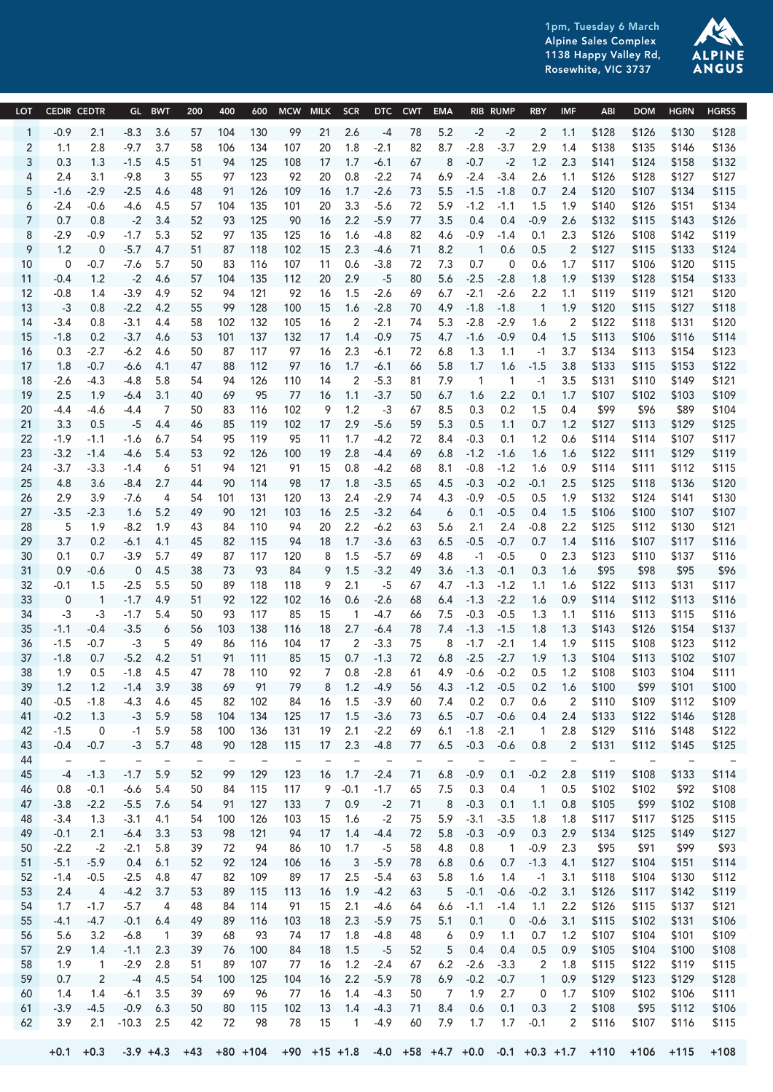1pm, Tuesday 6 March Alpine Sales Complex 1138 Happy Valley Rd, Rosewhite, VIC 3737



|                 | LOT CEDIR CEDTR          |                  |                                  |                        |                    |            |             |                                                           |                  |                                   | GL BWT 200 400 600 MCW MILK SCR DTC CWT EMA RIB RUMP RBY IMF                                        | ABI                           |                |                      | DOM HGRN HGRSS       |
|-----------------|--------------------------|------------------|----------------------------------|------------------------|--------------------|------------|-------------|-----------------------------------------------------------|------------------|-----------------------------------|-----------------------------------------------------------------------------------------------------|-------------------------------|----------------|----------------------|----------------------|
|                 |                          |                  |                                  |                        |                    |            |             |                                                           |                  |                                   |                                                                                                     |                               |                |                      |                      |
| 2               | -0.9<br>1.1              | 2.1<br>2.8       | -8.3 3.6<br>-9.7 3.7             | 57<br>58               | 104 130<br>106 134 |            | 99<br>107   | 21 2.6                                                    |                  |                                   | -4 78 5.2 -2 -2 2 1.1 \$128 \$126 \$130<br>20 1.8 -2.1 82 8.7 -2.8 -3.7 2.9 1.4 \$138               |                               |                | \$135 \$146          | \$128<br>\$136       |
|                 | 0.3                      |                  | $1.3 - 1.5$ 4.5                  | 51                     | 94 125             |            | 108         | 17  1.7  -6.1  67                                         |                  |                                   | 8 -0.7 -2 1.2 2.3 \$141 \$124 \$158                                                                 |                               |                |                      | \$132                |
|                 | 2.4                      | 3.1              | -9.8                             | 3 55                   | 97 123             |            | 92          |                                                           |                  |                                   | 20 0.8 -2.2 74 6.9 -2.4 -3.4 2.6 1.1 \$126 \$128 \$127                                              |                               |                |                      | \$127                |
|                 | -1.6                     | -2.9             | $-2.5$ 4.6                       | 48                     | 91 126             |            | 109         |                                                           |                  |                                   | 16  1.7  -2.6  73  5.5  -1.5  -1.8  0.7  2.4  \$120  \$107  \$134                                   |                               |                |                      | \$115                |
| 6               |                          | -0.6             | -4.6 4.5                         | 57                     | 104 135            |            | 101         |                                                           |                  |                                   | 20 3.3 -5.6 72 5.9 -1.2 -1.1 1.5 1.9 \$140 \$126 \$151 \$134                                        |                               |                |                      |                      |
|                 | 0.7                      | 0.8              | $-2$ 3.4                         | 52                     | 93                 | 125        | 90          |                                                           |                  |                                   | 16 2.2 -5.9 77 3.5 0.4 0.4 -0.9 2.6 \$132 \$115 \$143                                               |                               |                |                      | \$126                |
| 8               | $-2.9$                   | -0.9             | $-1.7$ 5.3 52                    |                        | 97                 | 135        | 125         | 16 1.6<br>-4.8                                            | 82               | 4.6                               | $-0.9$ $-1.4$ 0.1                                                                                   | 2.3 \$126                     |                |                      | \$108 \$142 \$119    |
|                 | 1.2                      | $\overline{0}$   | -5.7 4.7 51                      |                        | 87                 | 118        | 102         | 15 2.3<br>-4.6                                            | 71 8.2           | $\overline{1}$                    | 0.6<br>0.5                                                                                          | 2 \$127                       |                | \$115 \$133          | \$124                |
| 10              | $\overline{0}$           | -0.7             | -7.6 5.7                         | - 50                   | 83                 | 116        | 107         | 11  0.6<br>$-3.8$                                         |                  | 72 7.3 0.7                        | 0 0.6 1.7 \$117 \$106 \$120                                                                         |                               |                |                      | \$115                |
| 11              | -0.4                     | 1.2              | -2 4.6                           | 57                     | 104                | 135        | 112         | 20 2.9                                                    |                  |                                   | -5 80 5.6 -2.5 -2.8 1.8 1.9 \$139<br>69 6.7 -2.1 -2.6 2.2 1.1 \$119 \$119 \$121 \$120               |                               | \$128 \$154    |                      | \$133                |
| 12              | -0.8<br>$-3$             | 1.4<br>0.8       | -3.9 4.9<br>-2.2 4.2             | - 52<br>55             | 94<br>99           | 121<br>128 | 92<br>100   | 16  1.5  -2.6<br>15 1.6 -2.8 70 4.9 -1.8 -1.8             |                  |                                   |                                                                                                     | 1 1.9 \$120 \$115 \$127 \$118 |                |                      |                      |
| 14              | $-3.4$                   | 0.8              | -3.1 4.4                         | 58                     | 102 132            |            | 105         | - 16                                                      |                  |                                   | 2 -2.1 74 5.3 -2.8 -2.9 1.6 2 \$122 \$118 \$131 \$120                                               |                               |                |                      |                      |
| 15 <sup>2</sup> | $-1.8$                   | 0.2              | $-3.7$ 4.6                       | 53                     | 101 137            |            | 132         |                                                           |                  |                                   | 17  1.4  -0.9  75  4.7  -1.6  -0.9  0.4  1.5  \$113  \$106  \$116  \$114                            |                               |                |                      |                      |
| 16              | 0.3                      | $-2.7$           | -6.2 4.6                         | - 50                   | 87 117             |            | 97          |                                                           |                  |                                   | 16 2.3 -6.1 72 6.8 1.3 1.1 -1 3.7 \$134                                                             |                               |                | \$113 \$154          | \$123                |
|                 | 1.8                      | $-0.7$           | -6.6 4.1 47                      |                        | 88                 | 112        | 97          | $16$ $1.7$ $-6.1$                                         |                  |                                   | 66 5.8 1.7 1.6 -1.5 3.8 \$133                                                                       |                               |                |                      | \$115 \$153 \$122    |
| 18              | $-2.6$                   | -4.3             | -4.8 5.8                         | - 54                   | 94                 | - 126      | 110         | 2 -5.3 81 7.9<br>14                                       |                  |                                   | 1 1 -1 3.5 \$131                                                                                    |                               |                | \$110 \$149          | \$121                |
| 19              | 2.5                      | 1.9              | $-6.4$ 3.1 40                    |                        | 69                 | 95         | 77          |                                                           |                  |                                   | 16 1.1 -3.7 50 6.7 1.6 2.2 0.1 1.7 \$107 \$102 \$103 \$109                                          |                               |                |                      |                      |
| 20              | -4.4                     | -4.6             | -4.4 7                           | - 50                   | 83                 | 116        | 102         |                                                           |                  |                                   | 9 1.2 -3 67 8.5 0.3 0.2 1.5 0.4 \$99                                                                |                               |                | \$96 \$89            | \$104                |
| 21              | 3.3                      | 0.5              | $-5$ 4.4                         | 46                     | 85                 | 119        | 102         |                                                           |                  |                                   | 17 2.9 -5.6 59 5.3 0.5 1.1 0.7 1.2 \$127 \$113 \$129 \$125                                          |                               |                |                      |                      |
| 22<br>23        | $-1.9$<br>$-3.2$         | $-1.1$<br>$-1.4$ | -1.6 6.7<br>-4.6 5.4             | - 54<br>53             | 95 119<br>92       | - 126      | - 95<br>100 | 19<br>2.8<br>$-4.4$                                       | 69               |                                   | 11 1.7 -4.2 72 8.4 -0.3 0.1 1.2 0.6 \$114 \$114 \$107 \$117<br>6.8 -1.2 -1.6 1.6 1.6 \$122          |                               |                | \$111 \$129          | \$119                |
| 24              | $-3.7$                   | $-3.3$           | -1.4                             | 6<br>- 51              | 94                 | 121        | - 91        | 15  0.8  -4.2  68                                         |                  |                                   | 8.1 -0.8 -1.2 1.6 0.9 \$114                                                                         |                               |                |                      | \$111 \$112 \$115    |
| 25 <sub>2</sub> | 4.8                      | 3.6              | $-8.4$ 2.7                       | -44                    | 90                 | - 114      | - 98        | 17  1.8  -3.5  65                                         |                  |                                   | 4.5 -0.3 -0.2 -0.1                                                                                  | 2.5 \$125                     |                | \$118 \$136          | \$120                |
| 26              | 2.9                      | 3.9              | -7.6<br>$\overline{4}$           | 54                     | 101                | 131        | 120         | 13  2.4  -2.9  74  4.3  -0.9  -0.5                        |                  |                                   |                                                                                                     | 0.5 1.9 \$132                 |                | \$124 \$141          | \$130                |
| 27              | $-3.5$                   | $-2.3$           | 1.6 5.2                          | - 49                   | 90                 | 121        | 103         | 16 2.5 -3.2 64                                            |                  |                                   | 6 0.1 -0.5 0.4 1.5 \$106                                                                            |                               | \$100 \$107    |                      | \$107                |
| 28              | 5                        | 1.9              | -8.2 1.9                         | 43                     | 84                 | 110        |             |                                                           |                  |                                   | 94 20 2.2 -6.2 63 5.6 2.1 2.4 -0.8 2.2 \$125                                                        |                               |                | \$112 \$130          | \$121                |
|                 | 3.7                      | 0.2              | -6.1 4.1                         | 45                     | 82 115             |            | 94          |                                                           |                  |                                   | 18  1.7  -3.6  63  6.5  -0.5  -0.7  0.7  1.4  \$116  \$107  \$117  \$116                            |                               |                |                      |                      |
| 30              | 0.1                      | 0.7              | -3.9 5.7                         | - 49                   | 87 117             |            | 120         | 8 1.5 -5.7 69                                             |                  | - 4.8                             | $-1$ $-0.5$                                                                                         | 0 2.3 \$123 \$110 \$137 \$116 |                |                      |                      |
| 31              | 0.9 <sub>2</sub>         | -0.6             | $0 \t 4.5 \t 38$                 |                        | -73                | - 93       | 84          |                                                           |                  |                                   | 9 1.5 -3.2 49 3.6 -1.3 -0.1 0.3 1.6 \$95                                                            |                               | \$98           | \$95                 | \$96                 |
| 32<br>33        | -0.1<br>$\overline{0}$   | 1.5              | -2.5 5.5 50<br>1 -1.7 4.9 51     |                        | 89 118<br>92 122   |            | 118<br>102  | 9 2.1<br>16  0.6  -2.6  68                                |                  |                                   | -5 67 4.7 -1.3 -1.2 1.1 1.6 \$122 \$113 \$131<br>6.4 -1.3 -2.2 1.6 0.9 \$114                        |                               |                | \$112 \$113          | \$117<br>\$116       |
| -34             | $-3$                     | $-3$             | $-1.7$ 5.4                       | 50                     | 93 117             |            | 85          | 15                                                        |                  | 1 -4.7 66 7.5 -0.3 -0.5           |                                                                                                     | 1.3 1.1 \$116 \$113 \$115     |                |                      | \$116                |
| 35              | $-1.1$                   | -0.4             | $-3.5$                           | 56<br>6                | 103                | 138        | 116         | 18  2.7  -6.4                                             |                  | 78 7.4 -1.3 -1.5                  |                                                                                                     | 1.8 1.3 \$143 \$126 \$154     |                |                      | \$137                |
| 36              | $-1.5$                   | -0.7             | -3                               | 49<br>- 5              | 86                 | - 116      | 104         | $2 - 3.3$<br>17                                           | 75               |                                   | 8 -1.7 -2.1 1.4 1.9 \$115                                                                           |                               |                |                      | \$108 \$123 \$112    |
| 37              | -1.8                     | 0.7              | $-5.2$ 4.2                       | 51                     |                    | 91 111 85  |             |                                                           |                  |                                   | 15 0.7 -1.3 72 6.8 -2.5 -2.7 1.9 1.3 \$104 \$113 \$102 \$107                                        |                               |                |                      |                      |
| 38              | 1.9                      |                  |                                  |                        |                    |            |             |                                                           |                  |                                   | 0.5 -1.8 4.5 47 78 110 92 7 0.8 -2.8 61 4.9 -0.6 -0.2 0.5 1.2 \$108 \$103 \$104 \$111               |                               |                |                      |                      |
| 39              | $1.2$ 1.2                |                  | $-1.4$ 3.9                       | 38                     | 69                 | 91         | - 79        | 8 1.2 -4.9 56 4.3 -1.2 -0.5                               |                  |                                   | 0.2 1.6                                                                                             | \$100                         | \$99           | \$101                | \$100                |
| 40<br>41        | $-0.5$<br>$-0.2$         | $-1.8$<br>1.3    | $-4.3$ 4.6<br>$-3$ 5.9           | 45<br>58               | 82<br>104          | 102<br>134 | 84<br>125   | 16<br>1.5<br>$-3.9$<br>17  1.5  -3.6  73  6.5  -0.7  -0.6 | 60               | 7.4<br>0.2                        | 0.7<br>0.6<br>0.4                                                                                   | \$110<br>2.4 \$133            | \$109          | \$112<br>\$122 \$146 | \$109<br>\$128       |
| 42              | $-1.5$                   | $\overline{0}$   | $-1$ 5.9                         | 58                     | 100                | 136        | 131         | 19  2.1  -2.2  69  6.1  -1.8  -2.1                        |                  |                                   |                                                                                                     | 1 2.8 \$129                   |                | \$116 \$148          | \$122                |
| 43              | -0.4                     | $-0.7$           | $-3$ 5.7                         | 48                     | 90                 | 128        | 115         | 17 2.3 -4.8                                               |                  | 77   6.5   -0.3   -0.6            | 0.8                                                                                                 | 2 \$131                       |                |                      | \$112 \$145 \$125    |
| 44              | $\overline{\phantom{a}}$ |                  | $\overline{\phantom{a}}$         |                        |                    |            |             |                                                           |                  |                                   |                                                                                                     | $\overline{\phantom{a}}$      |                |                      |                      |
| 45              |                          | $-4$ $-1.3$      | $-1.7$ 5.9                       | 52                     | 99                 | 129        | 123         | 1.7<br>16<br>$-2.4$                                       | 71               | 6.8<br>$-0.9$                     | 0.1<br>$-0.2$                                                                                       | 2.8<br>\$119                  | \$108          |                      | \$133 \$114          |
| 46              | 0.8                      | $-0.1$           | $-6.6$ 5.4                       | 50                     | 84                 | 115        | 117         | $9 - 0.1$<br>$-1.7$                                       | 65               | 7.5<br>0.3                        | 0.4<br>$\overline{1}$                                                                               | 0.5<br>\$102                  | \$102          | \$92                 | \$108                |
| 47              | $-3.8$                   | $-2.2$           | $-5.5$ 7.6                       | -54                    | 91                 | 127<br>126 | 133         | 0.9                                                       | 71<br>$-2$       | $-0.3$<br>8<br>5.9                | 0.1<br>1.1                                                                                          | 0.8<br>\$105<br>1.8           | \$99           | \$125                | \$102 \$108<br>\$115 |
| 48<br>49        | $-3.4$<br>$-0.1$         | 1.3<br>2.1       | $-3.1$ 4.1<br>$-6.4$ 3.3         | 54<br>53               | 100<br>98          | 121        | 103<br>94   | 15<br>1.6<br>17<br>1.4<br>$-4.4$                          | 75<br>$-2$<br>72 | $-3.1$<br>5.8<br>-0.3             | $-3.5$<br>1.8<br>-0.9<br>0.3                                                                        | \$117<br>2.9<br>\$134         | \$117<br>\$125 | \$149                | \$127                |
| 50              | $-2.2$                   | $-2$             | $-2.1$ 5.8                       | 39                     | 72                 | 94         | 86          | 10<br>1.7                                                 | 58<br>$-5$       | 4.8<br>0.8                        | $-0.9$<br>$\overline{1}$                                                                            | 2.3<br>\$95                   | \$91           | \$99                 | \$93                 |
| 51              | $-5.1$                   | -5.9             | $0.4$ 6.1                        | 52                     | 92                 | 124        | 106         | 3 <sup>5</sup><br>$-5.9$<br>16                            | 78               | 6.8 0.6                           | 0.7<br>$-1.3$                                                                                       | 4.1<br>\$127                  |                |                      | \$104 \$151 \$114    |
| 52              | -1.4 -0.5                |                  | $-2.5$ 4.8                       | - 47                   | 82                 | 109        | 89          | 17<br>2.5<br>-5.4                                         | 63               | 5.8<br>1.6                        | 1.4<br>-1                                                                                           | 3.1<br>\$118                  |                | \$104 \$130          | \$112                |
| 53              | 2.4                      |                  | 4 -4.2 3.7 53                    |                        | 89 115             |            | 113         | 16  1.9  -4.2  63                                         |                  |                                   | 5 -0.1 -0.6 -0.2 3.1 \$126                                                                          |                               |                |                      | \$117 \$142 \$119    |
| 54              | 1.7                      | $-1.7$           | $-5.7$                           | - 48<br>$\overline{4}$ | 84                 | 114        | -91         | 15 2.1<br>-4.6                                            | 64               | $6.6$ -1.1 -1.4                   |                                                                                                     | 1.1 2.2 \$126                 |                |                      | \$115 \$137 \$121    |
| 55              | -4.1                     | $-4.7$           | -0.1 6.4                         | 49                     | 89                 | 116        | 103         | 18<br>2.3<br>$-5.9$                                       | 75               | $5.1$ 0.1                         | $-0.6$<br>$\overline{\mathbf{0}}$                                                                   | 3.1<br>\$115                  |                | \$102 \$131          | \$106                |
| 56<br>57        | 5.6                      | 3.2              | -6.8<br>$2.9$ $1.4$ $-1.1$ $2.3$ | 39<br>39               | 68<br>76           | 93<br>100  | -74<br>84   | 17<br>1.8<br>-4.8<br>18<br>1.5<br>$-5$                    | 48<br>52         | 0.9<br>6<br>5 <sup>5</sup><br>0.4 | $1.1 \t 0.7$<br>0.5<br>$0.4\,$                                                                      | 1.2 \$107<br>0.9<br>\$105     | \$104          | \$104 \$101<br>\$100 | \$109<br>\$108       |
| 58              | 1.9                      | $\overline{1}$   | $-2.9$ 2.8                       | 51                     | 89                 | 107        | 77          | 1.2<br>16<br>$-2.4$                                       | 67               | $6.2 -2.6 -3.3$                   | 2 1.8                                                                                               | \$115                         |                | \$122 \$119          | \$115                |
| 59              | 0.7                      | 2                | $-4$ 4.5                         | 54                     | 100                | 125        | 104         | 16 2.2 -5.9                                               |                  | 78  6.9  -0.2  -0.7               |                                                                                                     | 1 0.9 \$129                   |                | \$123 \$129          | \$128                |
| 60              | 1.4                      | 1.4              | $-6.1$ 3.5                       | 39                     | 69                 | 96         | 77          | 16  1.4  -4.3                                             | 50               | 7 1.9 2.7                         |                                                                                                     | 0 1.7 \$109                   |                | \$102 \$106          | \$111                |
| 61              | $-3.9$                   | -4.5             | $-0.9$ 6.3                       | 50                     | 80                 | 115        | 102         | 13  1.4  -4.3                                             | 71               | 8.4 0.6                           | $0.1 \quad 0.3$                                                                                     | 2 \$108                       |                |                      | \$95 \$112 \$106     |
| 62              | 3.9                      |                  |                                  | 2.1 -10.3 2.5 42       | 72                 | 98         | - 78        | - 15                                                      |                  | 1 -4.9 60 7.9 1.7 1.7 -0.1        |                                                                                                     | 2 \$116 \$107 \$116 \$115     |                |                      |                      |
|                 |                          |                  |                                  |                        |                    |            |             |                                                           |                  |                                   |                                                                                                     |                               |                |                      |                      |
|                 |                          |                  |                                  |                        |                    |            |             |                                                           |                  |                                   | +0.1 +0.3 -3.9 +4.3 +43 +80 +104 +90 +15 +1.8 -4.0 +58 +4.7 +0.0 -0.1 +0.3 +1.7 +110 +106 +115 +108 |                               |                |                      |                      |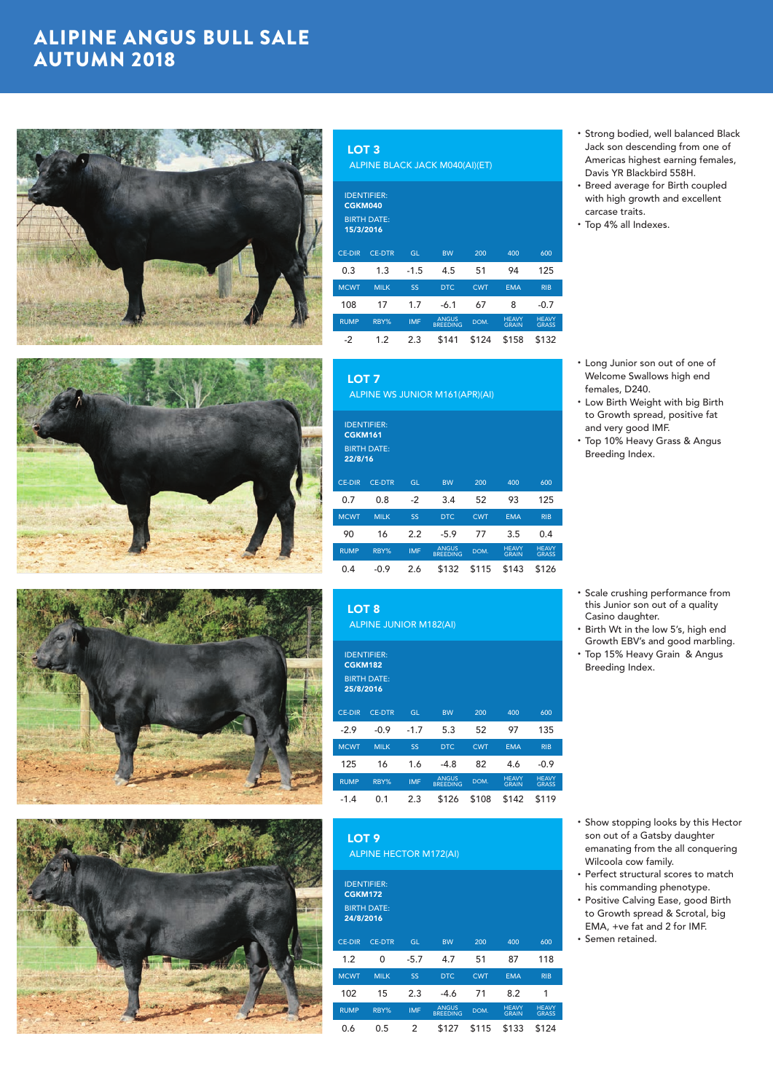## ALIPINE ANGUS BULL SALE AUTUMN 2018









#### LOT 3

ALPINE BLACK JACK M040(AI)(ET)

| CGKM040<br>15/3/2016 | <b>IDENTIFIER:</b><br><b>BIRTH DATE:</b> |            |                                 |            |                              |                              |
|----------------------|------------------------------------------|------------|---------------------------------|------------|------------------------------|------------------------------|
| <b>CE-DIR</b>        | <b>CE-DTR</b>                            | <b>GL</b>  | <b>BW</b>                       | 200        | 400                          | 600                          |
| 0.3                  | 1.3                                      | $-1.5$     | 4.5                             | 51         | 94                           | 125                          |
| <b>MCWT</b>          | <b>MILK</b>                              | SS         | DTC.                            | <b>CWT</b> | <b>EMA</b>                   | <b>RIB</b>                   |
| 108                  | 17                                       | 1.7        | $-6.1$                          | 67         | 8                            | $-0.7$                       |
| <b>RUMP</b>          | RBY%                                     | <b>IMF</b> | <b>ANGUS</b><br><b>BREEDING</b> | DOM.       | <b>HEAVY</b><br><b>GRAIN</b> | <b>HEAVY</b><br><b>GRASS</b> |
| $-2$                 | 1.2                                      | 2.3        | \$141                           | \$124      | \$158                        | \$132                        |

| <b>LOT 7</b>              |                                          |            | <b>ALPINE WS JUNIOR M161(APR)(AI)</b> |            |              |              |
|---------------------------|------------------------------------------|------------|---------------------------------------|------------|--------------|--------------|
| <b>CGKM161</b><br>22/8/16 | <b>IDENTIFIER:</b><br><b>BIRTH DATE:</b> |            |                                       |            |              |              |
| <b>CE-DIR</b>             | <b>CE-DTR</b>                            | <b>GL</b>  | <b>BW</b>                             | 200        | 400          | 600          |
| 0.7                       | 0.8                                      | $-2$       | 3.4                                   | 52         | 93           | 125          |
| <b>MCWT</b>               | <b>MILK</b>                              | <b>SS</b>  | <b>DTC</b>                            | <b>CWT</b> | <b>EMA</b>   | <b>RIB</b>   |
| 90                        | 16                                       | 2.2        | $-5.9$                                | 77         | 3.5          | 0.4          |
| <b>RUMP</b>               | RRY%                                     | <b>IMF</b> | <b>ANGUS</b>                          | <b>DOM</b> | <b>HEAVY</b> | <b>HEAVY</b> |

RUMP RBY% IMF ANGUS ANGUS DOM. HEAVY<br>BREEDING DOM. GRAIN GRAIN **GRASS** 0.4 -0.9 2.6 \$132 \$115 \$143 \$126

LOT 8

ALPINE JUNIOR M182(AI)

| <b>CGKM182</b><br>25/8/2016 | <b>IDENTIFIER:</b><br><b>BIRTH DATE:</b> |            |                                 |            |                              |                              |
|-----------------------------|------------------------------------------|------------|---------------------------------|------------|------------------------------|------------------------------|
| <b>CE-DIR</b>               | <b>CE-DTR</b>                            | GL         | <b>BW</b>                       | 200        | 400                          | 600                          |
| $-2.9$                      | $-0.9$                                   | $-1.7$     | 5.3                             | 52         | 97                           | 135                          |
| <b>MCWT</b>                 | <b>MILK</b>                              | SS         | DTC.                            | <b>CWT</b> | <b>EMA</b>                   | <b>RIB</b>                   |
| 125                         | 16                                       | 1.6        | $-4.8$                          | 82         | 4.6                          | $-0.9$                       |
| <b>RUMP</b>                 | RBY%                                     | <b>IMF</b> | <b>ANGUS</b><br><b>BREEDING</b> | DOM.       | <b>HFAVY</b><br><b>GRAIN</b> | <b>HFAVY</b><br><b>GRASS</b> |
| $-1.4$                      | 0.1                                      | 2.3        | \$126                           | \$108      | \$142                        | \$119                        |

LOT<sub>9</sub> ALPINE HECTOR M172(AI)

| <b>CGKM172</b><br>24/8/2016 | <b>IDENTIFIER:</b><br><b>BIRTH DATE:</b> |            |                                 |            |                              |                              |
|-----------------------------|------------------------------------------|------------|---------------------------------|------------|------------------------------|------------------------------|
| <b>CE-DIR</b>               | <b>CE-DTR</b>                            | GL         | <b>BW</b>                       | 200        | 400                          | 600                          |
| 1.2                         | 0                                        | $-5.7$     | 4.7                             | 51         | 87                           | 118                          |
| <b>MCWT</b>                 | <b>MILK</b>                              | <b>SS</b>  | <b>DTC</b>                      | <b>CWT</b> | <b>EMA</b>                   | <b>RIB</b>                   |
| 102                         | 15                                       | 2.3        | $-4.6$                          | 71         | 8.2                          | 1                            |
| <b>RUMP</b>                 | RBY%                                     | <b>IMF</b> | <b>ANGUS</b><br><b>BREEDING</b> | DOM.       | <b>HEAVY</b><br><b>GRAIN</b> | <b>HEAVY</b><br><b>GRASS</b> |
| 0.6                         | 0.5                                      | 2          | \$127                           | \$115      | \$133                        | \$124                        |

- Strong bodied, well balanced Black Jack son descending from one of Americas highest earning females, Davis YR Blackbird 558H.
- Breed average for Birth coupled with high growth and excellent carcase traits.
- Top 4% all Indexes.

- Long Junior son out of one of Welcome Swallows high end females, D240.
- Low Birth Weight with big Birth to Growth spread, positive fat and very good IMF.
- Top 10% Heavy Grass & Angus Breeding Index.

- Scale crushing performance from this Junior son out of a quality Casino daughter.
- Birth Wt in the low 5's, high end Growth EBV's and good marbling. • Top 15% Heavy Grain & Angus
- Breeding Index.

- Show stopping looks by this Hector son out of a Gatsby daughter emanating from the all conquering Wilcoola cow family.
- Perfect structural scores to match his commanding phenotype.
- Positive Calving Ease, good Birth to Growth spread & Scrotal, big EMA, +ve fat and 2 for IMF. • Semen retained.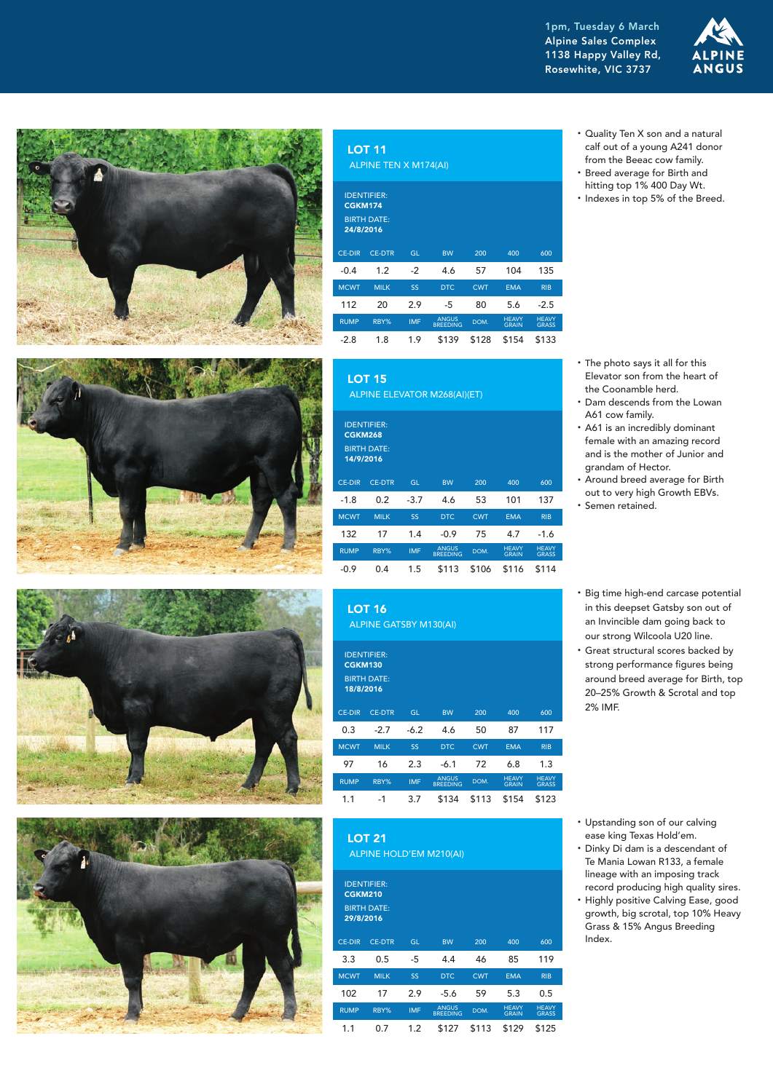1pm, Tuesday 6 March Alpine Sales Complex 1138 Happy Valley Rd, Rosewhite, VIC 3737











|                                              | <b>LOT 11</b><br>ALPINE TEN X M174(AI)                    |      |           |            |            |            |
|----------------------------------------------|-----------------------------------------------------------|------|-----------|------------|------------|------------|
| <b>CGKM174</b><br>24/8/2016<br><b>CE-DIR</b> | <b>IDENTIFIER:</b><br><b>BIRTH DATE:</b><br><b>CE-DTR</b> | GL   | <b>BW</b> | 200        | 400        | 600        |
|                                              |                                                           |      |           |            |            |            |
| $-0.4$                                       | 1.2                                                       | $-2$ | 4.6       | 57         | 104        | 135        |
| <b>MCWT</b>                                  | <b>MILK</b>                                               | SS   | DTC.      | <b>CWT</b> | <b>EMA</b> | <b>RIB</b> |
| 112                                          | 20                                                        | 2.9  | $-5$      | 80         | 5.6        | $-2.5$     |

ANGUS DOM. HEAVY

GRAIN

**HEAVY** GRASS

|                                                                         | <b>LOT 15</b> |            | <b>ALPINE ELEVATOR M268(AI)(ET)</b> |            |                              |                              |  |  |  |  |  |  |
|-------------------------------------------------------------------------|---------------|------------|-------------------------------------|------------|------------------------------|------------------------------|--|--|--|--|--|--|
| <b>IDENTIFIER:</b><br><b>CGKM268</b><br><b>BIRTH DATE:</b><br>14/9/2016 |               |            |                                     |            |                              |                              |  |  |  |  |  |  |
| <b>CE-DIR</b>                                                           | <b>CE-DTR</b> | GL         | <b>BW</b>                           | 200        | 400                          | 600                          |  |  |  |  |  |  |
| $-1.8$                                                                  | 0.2           | $-3.7$     | 4.6                                 | 53         | 101                          | 137                          |  |  |  |  |  |  |
| <b>MCWT</b>                                                             | <b>MILK</b>   | SS         | <b>DTC</b>                          | <b>CWT</b> | <b>EMA</b>                   | <b>RIB</b>                   |  |  |  |  |  |  |
| 132                                                                     | 17            | 1.4        | $-0.9$                              | 75         | 4.7                          | $-1.6$                       |  |  |  |  |  |  |
| <b>RUMP</b>                                                             | RBY%          | <b>IMF</b> | <b>ANGUS</b><br><b>BREEDING</b>     | DOM.       | <b>HFAVY</b><br><b>GRAIN</b> | <b>HFAVY</b><br><b>GRASS</b> |  |  |  |  |  |  |
| $-0.9$                                                                  | 0.4           | 1.5        | \$113                               | \$106      | \$116                        | \$114                        |  |  |  |  |  |  |

-2.8 1.8 1.9 \$139 \$128 \$154 \$133

LOT 16 ALPINE GATSBY M130(AI)

RUMP RBY% IMF ANGUS

| <b>CGKM130</b><br>18/8/2016 | <b>IDENTIFIER:</b><br><b>BIRTH DATE:</b> |            |                                 |            |                              |                              |
|-----------------------------|------------------------------------------|------------|---------------------------------|------------|------------------------------|------------------------------|
| <b>CE-DIR</b>               | <b>CE-DTR</b>                            | GL         | <b>BW</b>                       | 200        | 400                          | 600                          |
| 0.3                         | $-2.7$                                   | $-6.2$     | 4.6                             | 50         | 87                           | 117                          |
| <b>MCWT</b>                 | <b>MILK</b>                              | SS         | DTC.                            | <b>CWT</b> | <b>EMA</b>                   | <b>RIB</b>                   |
| 97                          | 16                                       | 2.3        | $-6.1$                          | 72         | 6.8                          | 1.3                          |
| <b>RUMP</b>                 | RBY%                                     | <b>IMF</b> | <b>ANGUS</b><br><b>BREEDING</b> | DOM.       | <b>HFAVY</b><br><b>GRAIN</b> | <b>HFAVY</b><br><b>GRASS</b> |
| 1.1                         | $-1$                                     | 3.7        | \$134                           | \$113      | \$154                        | \$123                        |

LOT 21 ALPINE HOLD'EM M210(AI)

| <b>CGKM210</b><br>29/8/2016 | <b>IDENTIFIER:</b><br><b>BIRTH DATE:</b> |            |                                 |            |                              |                              |
|-----------------------------|------------------------------------------|------------|---------------------------------|------------|------------------------------|------------------------------|
| <b>CE-DIR</b>               | <b>CE-DTR</b>                            | <b>GL</b>  | <b>BW</b>                       | 200        | 400                          | 600                          |
| 3.3                         | 0.5                                      | $-5$       | 4.4                             | 46         | 85                           | 119                          |
| <b>MCWT</b>                 | <b>MILK</b>                              | SS         | DTC.                            | <b>CWT</b> | <b>EMA</b>                   | <b>RIB</b>                   |
| 102                         | 17                                       | 2.9        | $-5.6$                          | 59         | 5.3                          | 0.5                          |
| <b>RUMP</b>                 | RBY%                                     | <b>IMF</b> | <b>ANGUS</b><br><b>BREEDING</b> | DOM.       | <b>HEAVY</b><br><b>GRAIN</b> | <b>HEAVY</b><br><b>GRASS</b> |
| 1.1                         | 0.7                                      | 1.2        | \$127                           | \$113      | \$129                        | \$125                        |

- Quality Ten X son and a natural calf out of a young A241 donor from the Beeac cow family.
- Breed average for Birth and hitting top 1% 400 Day Wt.
- Indexes in top 5% of the Breed.

- The photo says it all for this Elevator son from the heart of the Coonamble herd.
- Dam descends from the Lowan A61 cow family.
- A61 is an incredibly dominant female with an amazing record and is the mother of Junior and grandam of Hector.
- Around breed average for Birth out to very high Growth EBVs. • Semen retained.
- Big time high-end carcase potential in this deepset Gatsby son out of an Invincible dam going back to our strong Wilcoola U20 line.
- Great structural scores backed by strong performance figures being around breed average for Birth, top 20–25% Growth & Scrotal and top 2% IMF.
- Upstanding son of our calving ease king Texas Hold'em.
- Dinky Di dam is a descendant of Te Mania Lowan R133, a female lineage with an imposing track record producing high quality sires.
- Highly positive Calving Ease, good growth, big scrotal, top 10% Heavy Grass & 15% Angus Breeding Index.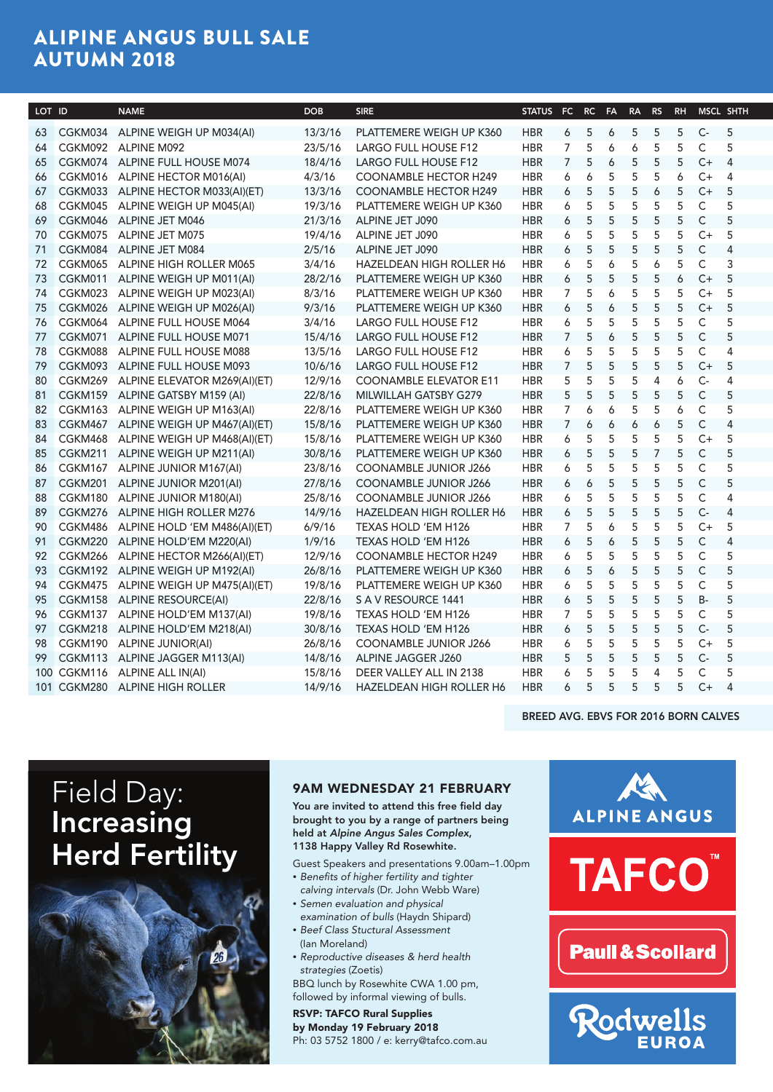# ALIPINE ANGUS BULL SALE AUTUMN 2018

| LOT ID     | <b>NAME</b>                             | DOB     | <b>SIRE</b>                      |            | STATUS FC RC FA RA RS RH MSCL SHTH |            |                           |     |                     |  |
|------------|-----------------------------------------|---------|----------------------------------|------------|------------------------------------|------------|---------------------------|-----|---------------------|--|
|            | 63 CGKM034 ALPINE WEIGH UP M034(AI)     |         | 13/3/16 PLATTEMERE WEIGH UP K360 | <b>HBR</b> | 6<br>5                             |            | 6 5 5 5 C- 5              |     |                     |  |
|            | 64 CGKM092 ALPINE M092                  | 23/5/16 | <b>LARGO FULL HOUSE F12</b>      | <b>HBR</b> | 7<br>- 5                           | - 6<br>6   | - 5                       | - 5 | $\mathsf{C}$<br>- 5 |  |
|            | 65 CGKM074 ALPINE FULL HOUSE M074       | 18/4/16 | <b>LARGO FULL HOUSE F12</b>      | <b>HBR</b> | 7 5                                | - 5<br>- 6 | 5                         |     | 5 C+ 4              |  |
|            | 66 CGKM016 ALPINE HECTOR M016(AI)       | 4/3/16  | <b>COONAMBLE HECTOR H249</b>     | <b>HBR</b> | 6<br>6                             | - 5<br>- 5 | 5                         | 6   | C+ 4                |  |
|            | 67 CGKM033 ALPINE HECTOR M033(AI)(ET)   | 13/3/16 | <b>COONAMBLE HECTOR H249</b>     | <b>HBR</b> | 6<br>- 5                           | - 5<br>-5  | 6                         | -5  | $C+$<br>- 5         |  |
|            | 68 CGKM045 ALPINE WEIGH UP M045(AI)     | 19/3/16 | PLATTEMERE WEIGH UP K360         | <b>HBR</b> | 6<br>-5                            | - 5<br>-5  | -5                        | -5  | $\mathsf{C}$<br>- 5 |  |
|            | 69 CGKM046 ALPINE JET M046              | 21/3/16 | ALPINE JET J090                  | <b>HBR</b> | - 5<br>6                           | - 5<br>- 5 | 5                         | -5  | $\mathsf{C}$<br>- 5 |  |
|            | 70 CGKM075 ALPINE JET M075              | 19/4/16 | ALPINE JET J090                  | <b>HBR</b> | -5<br>6                            | -5<br>-5   | - 5                       | -5  | $C+ 5$              |  |
|            | 71 CGKM084 ALPINE JET M084              | 2/5/16  | ALPINE JET J090                  | <b>HBR</b> | -5<br>6                            | - 5<br>-5  | - 5                       | - 5 | $\mathsf{C}$<br>-4  |  |
|            | 72 CGKM065 ALPINE HIGH ROLLER M065      | 3/4/16  | <b>HAZELDEAN HIGH ROLLER H6</b>  | <b>HBR</b> | -5<br>6                            | -5<br>6    | 6                         | -5  | C.<br>-3            |  |
| 73 CGKM011 | ALPINE WEIGH UP M011(AI)                | 28/2/16 | PLATTEMERE WEIGH UP K360         | <b>HBR</b> | 6<br>-5                            | -5<br>-5   | - 5                       | 6   | $C+$<br>- 5         |  |
| 74 CGKM023 | ALPINE WEIGH UP M023(AI)                | 8/3/16  | PLATTEMERE WEIGH UP K360         | <b>HBR</b> | -5                                 | -5<br>6    | -5                        | -5  | $C+$<br>- 5         |  |
| 75 CGKM026 | ALPINE WEIGH UP M026(AI)                | 9/3/16  | PLATTEMERE WEIGH UP K360         | <b>HBR</b> | 6<br>- 5                           | - 5<br>6   | - 5                       | - 5 | $C+$<br>- 5         |  |
| 76 CGKM064 | ALPINE FULL HOUSE M064                  | 3/4/16  | LARGO FULL HOUSE F12             | <b>HBR</b> | $5\overline{)}$<br>6               | - 5<br>-5  | 5                         | - 5 | $\mathsf{C}$<br>- 5 |  |
|            | 77 CGKM071 ALPINE FULL HOUSE M071       | 15/4/16 | LARGO FULL HOUSE F12             | <b>HBR</b> | -5                                 | -5<br>- 6  | - 5                       | - 5 | $\mathsf{C}$<br>- 5 |  |
| 78 CGKM088 | ALPINE FULL HOUSE M088                  | 13/5/16 | LARGO FULL HOUSE F12             | <b>HBR</b> | - 5<br>6                           | - 5<br>-5  | - 5                       | -5  | C.                  |  |
|            | 79 CGKM093 ALPINE FULL HOUSE M093       | 10/6/16 | LARGO FULL HOUSE F12             | <b>HBR</b> | -5                                 | -5<br>-5   | - 5                       | -5  | $C+$<br>- 5         |  |
|            | 80 CGKM269 ALPINE ELEVATOR M269(AI)(ET) | 12/9/16 | <b>COONAMBLE ELEVATOR E11</b>    | <b>HBR</b> | 5<br>-5                            | -5<br>-5   | -4                        | 6   | $C-$<br>-4          |  |
|            | 81 CGKM159 ALPINE GATSBY M159 (AI)      | 22/8/16 | MILWILLAH GATSBY G279            | <b>HBR</b> | 5<br>5                             | 5<br>-5    | 5                         | -5  | $\mathsf{C}$<br>- 5 |  |
|            | 82 CGKM163 ALPINE WEIGH UP M163(AI)     | 22/8/16 | PLATTEMERE WEIGH UP K360         | <b>HBR</b> | 6                                  | - 6<br>- 5 | - 5                       | 6   | $\mathsf{C}$<br>- 5 |  |
|            | 83 CGKM467 ALPINE WEIGH UP M467(AI)(ET) | 15/8/16 | PLATTEMERE WEIGH UP K360         | <b>HBR</b> | 6                                  | 6<br>6     | 6                         | -5  | $\mathsf{C}$        |  |
| 84 CGKM468 | ALPINE WEIGH UP M468(AI)(ET)            | 15/8/16 | PLATTEMERE WEIGH UP K360         | <b>HBR</b> | 6<br>-5                            | - 5<br>-5  | - 5                       | -5  | $C+$<br>- 5         |  |
| 85 CGKM211 | ALPINE WEIGH UP M211(AI)                | 30/8/16 | PLATTEMERE WEIGH UP K360         | <b>HBR</b> | 6<br>-5                            | -5<br>-5   |                           | -5  | C<br>- 5            |  |
| 86 CGKM167 | ALPINE JUNIOR M167(AI)                  | 23/8/16 | <b>COONAMBLE JUNIOR J266</b>     | <b>HBR</b> | - 5<br>6                           | - 5<br>-5  | - 5                       | -5  | $\mathsf{C}$<br>- 5 |  |
| 87 CGKM201 | ALPINE JUNIOR M201(AI)                  | 27/8/16 | <b>COONAMBLE JUNIOR J266</b>     | <b>HBR</b> | 6<br>-6                            | - 5<br>5   | $5\phantom{.0}$           | - 5 | $\mathsf{C}$<br>- 5 |  |
|            | 88 CGKM180 ALPINE JUNIOR M180(AI)       | 25/8/16 | <b>COONAMBLE JUNIOR J266</b>     | <b>HBR</b> | - 5<br>6                           | - 5<br>- 5 | - 5                       | - 5 | C.                  |  |
|            | 89 CGKM276 ALPINE HIGH ROLLER M276      | 14/9/16 | HAZELDEAN HIGH ROLLER H6         | <b>HBR</b> | 6<br>- 5                           | 5<br>5     | - 5                       | - 5 | $C-$                |  |
| 90 CGKM486 | ALPINE HOLD 'EM M486(AI)(ET)            | 6/9/16  | TEXAS HOLD 'EM H126              | <b>HBR</b> | -5                                 | -6         | - 5                       | -5  | C+<br>- 5           |  |
| 91 CGKM220 | ALPINE HOLD'EM M220(AI)                 | 1/9/16  | TEXAS HOLD 'EM H126              | <b>HBR</b> | 6<br>-5                            | -6<br>-5   | - 5                       | -5  | C                   |  |
| 92 CGKM266 | ALPINE HECTOR M266(AI)(ET)              | 12/9/16 | <b>COONAMBLE HECTOR H249</b>     | <b>HBR</b> | - 5<br>6                           | - 5<br>- 5 | - 5                       | -5  | $\mathsf{C}$<br>- 5 |  |
|            | 93 CGKM192 ALPINE WEIGH UP M192(AI)     | 26/8/16 | PLATTEMERE WEIGH UP K360         | <b>HBR</b> | - 5<br>6                           | -6<br>- 5  | 5                         | -5  | $\mathsf{C}$<br>- 5 |  |
|            | 94 CGKM475 ALPINE WEIGH UP M475(AI)(ET) | 19/8/16 | PLATTEMERE WEIGH UP K360         | <b>HBR</b> | 6<br>- 5                           | - 5<br>- 5 | - 5                       | -5  | $\mathsf{C}$<br>- 5 |  |
|            | 95 CGKM158 ALPINE RESOURCE(AI)          |         | 22/8/16 SAV RESOURCE 1441        | <b>HBR</b> | 6<br>- 5                           | - 5<br>-5  | - 5                       | -5  | <b>B-</b><br>-5     |  |
| 96 CGKM137 | ALPINE HOLD'EM M137(AI)                 | 19/8/16 | TEXAS HOLD 'EM H126              | <b>HBR</b> | 5                                  | - 5<br>- 5 | - 5                       | -5  | $\mathsf{C}$<br>- 5 |  |
|            | 97 CGKM218 ALPINE HOLD'EM M218(AI)      | 30/8/16 | TEXAS HOLD 'EM H126              | <b>HBR</b> | -5<br>6                            | -5<br>-5   | - 5                       | -5  | $C-$<br>- 5         |  |
|            | 98 CGKM190 ALPINE JUNIOR(AI)            | 26/8/16 | <b>COONAMBLE JUNIOR J266</b>     | <b>HBR</b> | -5<br>6                            | - 5<br>-5  | - 5                       | -5  | $C+$ 5              |  |
|            | 99 CGKM113 ALPINE JAGGER M113(AI)       | 14/8/16 | ALPINE JAGGER J260               | <b>HBR</b> | 5<br>-5                            | - 5<br>-5  | - 5                       | - 5 | $C-$<br>- 5         |  |
|            | 100 CGKM116 ALPINE ALL IN(AI)           | 15/8/16 | DEER VALLEY ALL IN 2138          | <b>HBR</b> | -5<br>6                            | -5<br>-5   | -4                        | -5  | C.<br>- 5           |  |
|            | 101 CGKM280 ALPINE HIGH ROLLER          | 14/9/16 | HAZELDEAN HIGH ROLLER H6         | <b>HBR</b> | 6<br>5                             | 5          | $5\quad 5\quad 5\quad C+$ |     |                     |  |
|            |                                         |         |                                  |            |                                    |            |                           |     |                     |  |

#### BREED AVG. EBVS FOR 2016 BORN CALVES

Field Day: Increasing Herd Fertility



#### 9AM WEDNESDAY 21 FEBRUARY

You are invited to attend this free field day brought to you by a range of partners being held at *Alpine Angus Sales Complex*, 1138 Happy Valley Rd Rosewhite.

- Guest Speakers and presentations 9.00am–1.00pm • *Benefits of higher fertility and tighter*
- *calving intervals* (Dr. John Webb Ware) • *Semen evaluation and physical*
- *examination of bulls* (Haydn Shipard) • *Beef Class Stuctural Assessment*
- (Ian Moreland) • *Reproductive diseases & herd health*
- *strategies* (Zoetis) BBQ lunch by Rosewhite CWA 1.00 pm, followed by informal viewing of bulls.

RSVP: TAFCO Rural Supplies by Monday 19 February 2018 Ph: 03 5752 1800 / e: kerry@tafco.com.au

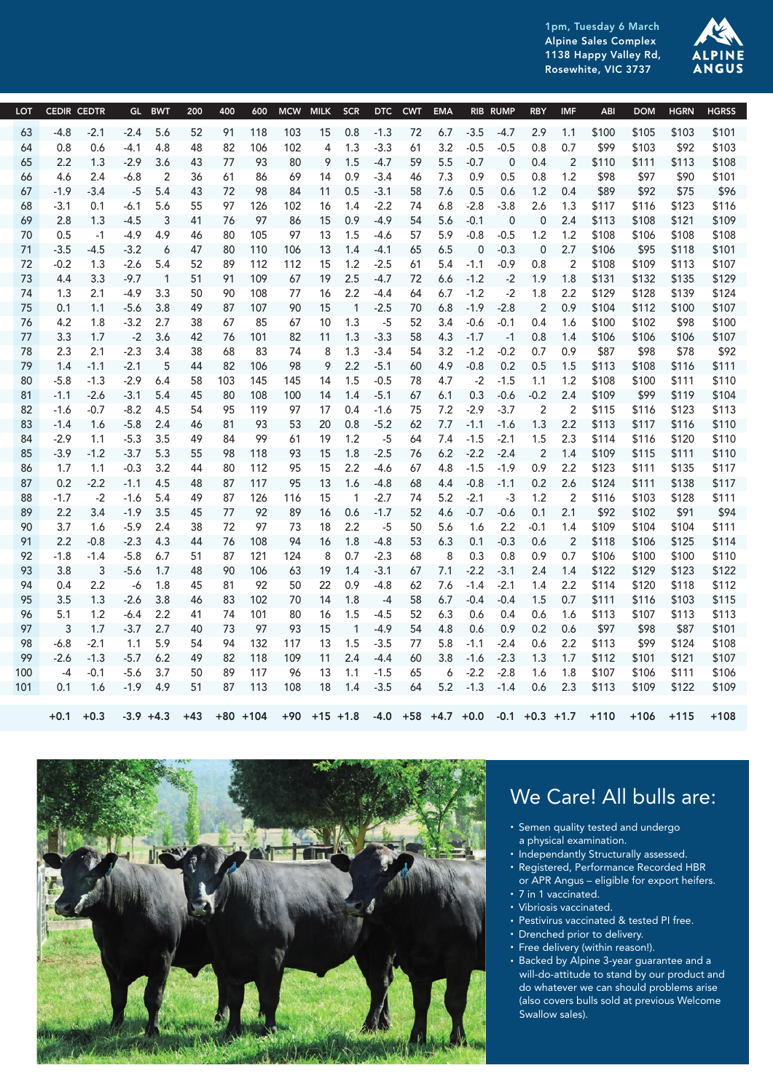1pm, Tuesday 6 March Alpine Sales Complex 1138 Happy Valley Rd, Rosewhite, VIC 3737



| LOT CEDIR CEDTR |               |              |                                    | GL BWT                  | 200          | 400      |           |           |                     |                | 600 MCW MILK SCR DTC CWT EMA RIB RUMP RBY IMF |      |                |                  |                |                 |                | <b>ABI</b>                                                                                       |       | DOM HGRN HGRSS    |            |
|-----------------|---------------|--------------|------------------------------------|-------------------------|--------------|----------|-----------|-----------|---------------------|----------------|-----------------------------------------------|------|----------------|------------------|----------------|-----------------|----------------|--------------------------------------------------------------------------------------------------|-------|-------------------|------------|
| 63              | $-4.8 -2.1$   |              | $-2.4$ 5.6                         |                         | - 52         |          | 91 118    | 103       |                     |                |                                               |      |                |                  |                |                 |                | 15 0.8 -1.3 72 6.7 -3.5 -4.7 2.9 1.1 \$100 \$105 \$103 \$101                                     |       |                   |            |
| 64              | 0.8           | 0.6          | -4.1 4.8                           |                         | 48           | 82       | 106       | 102       |                     | 4 1.3          | $-3.3$                                        | 61   | $3.2 -0.5$     |                  | -0.5           | $0.8\,$         | 0.7            | \$99                                                                                             | \$103 |                   | \$92 \$103 |
| 65              | 2.2           | 1.3          | $-2.9$ 3.6                         |                         | 43           | 77       | 93        | 80        | 9 1.5               |                | $-4.7$                                        | 59   | 5.5            | $-0.7$           | $\overline{0}$ | 0.4             |                | 2 \$110                                                                                          |       | \$111 \$113 \$108 |            |
| 66              | -4.6          | 2.4          | -6.8                               | 2                       | -36          | 61       | 86        | -69       | 14 0.9              |                | $-3.4$                                        | - 46 | 7.3            | 0.9              | 0.5            | $0.8\,$         | 1.2            | \$98                                                                                             | \$97  | \$90              | \$101      |
| 67              |               | $-1.9 - 3.4$ | $-5$ 5.4                           |                         | 43           | 72       | 98        | 84        |                     |                | $11 \t 0.5 \t -3.1$                           | 58   | 7.6 0.5        |                  | 0.6            | $1.2 \quad 0.4$ |                | \$89                                                                                             | \$92  | \$75              | \$96       |
| 68              | $-3.1$        | 0.1          | -6.1 5.6                           |                         | 55           | 97       | 126       | 102       | 16 1.4              |                | $-2.2$                                        | - 74 | $6.8 - 2.8$    |                  | -3.8           |                 |                | 2.6 1.3 \$117 \$116 \$123 \$116                                                                  |       |                   |            |
| 69              | 2.8           | 1.3          | $-4.5$                             | $\overline{\mathbf{3}}$ | -41          | 76       | 97        | 86        | 15 0.9              |                | $-4.9$                                        | 54   | 5.6            | $-0.1$           | $\overline{0}$ |                 |                | $0$ 2.4 \$113                                                                                    | \$108 | \$121             | \$109      |
| 70              | 0.5           | $-1$         | $-4.9$ 4.9                         |                         | -46          | 80       | 105       | 97        | 13  1.5  -4.6       |                |                                               | 57   |                | $5.9 -0.8 -0.5$  |                |                 |                |                                                                                                  |       | \$106 \$108       | \$108      |
| 71              | $-3.5$        | $-4.5$       | $-3.2$                             | $6^{\circ}$             | 47           |          | 80 110    | 106       |                     |                | 13  1.4  -4.1  65                             |      | 6.5            |                  | $0 -0.3$       |                 |                | 0 2.7 \$106                                                                                      |       | \$95 \$118 \$101  |            |
| 72              | $-0.2$        | 1.3          | -2.6 5.4                           |                         | 52           | 89       | 112       | 112       | 15  1.2  -2.5       |                |                                               |      |                | 61 5.4 -1.1 -0.9 |                | $0.8\,$         |                | 2 \$108                                                                                          |       | \$109 \$113 \$107 |            |
| 73              | 4.4           | 3.3          | -9.7                               | $\overline{1}$          | 51           | 91       | 109       | 67        | 19                  | 2.5            | $-4.7$                                        | 72   | $6.6 -1.2$     |                  | $-2$           |                 |                | 1.9 1.8 \$131                                                                                    | \$132 | \$135             | \$129      |
| 74              | 1.3           | 2.1          | $-4.9$ 3.3                         |                         | 50           | 90       | 108       | 77        | 16                  |                | $2.2 -4.4$                                    | 64   |                | $6.7 - 1.2$      | $-2$           | 1.8             |                | 2.2 \$129                                                                                        | \$128 | \$139             | \$124      |
| 75              |               |              | $0.1$ 1.1 $-5.6$ 3.8               |                         | 49           | 87       | 107       | 90        | 15                  |                | $1 - 2.5$                                     | 70   |                | $6.8$ -1.9 -2.8  |                |                 |                | 2 0.9 \$104 \$112 \$100 \$107                                                                    |       |                   |            |
| 76              |               | 4.2 1.8      | $-3.2$ 2.7                         |                         | -38          | 67       | 85        | 67        | 10                  | 1.3            | $-5$                                          | 52   |                | 3.4 -0.6         | $-0.1$         |                 |                | 0.4 1.6 \$100                                                                                    | \$102 | \$98              | \$100      |
| 77              | 3.3           | 1.7          | $-2$ 3.6                           |                         | 42           | - 76     | 101       | 82        | $11 \t 1.3 \t -3.3$ |                |                                               | 58   | 4.3            | $-1.7$           | $-1$           |                 |                | 0.8 1.4 \$106                                                                                    |       | \$106 \$106 \$107 |            |
| 78              | 2.3           | 2.1          | $-2.3$ 3.4                         |                         | -38          | 68       | 83        | 74        |                     |                | 8 1.3 -3.4                                    | 54   |                | $3.2 -1.2 -0.2$  |                | 0.7             | 0.9            | \$87                                                                                             | \$98  | \$78              | \$92       |
| 79              |               |              | $1.4 -1.1 -2.1$                    | $5^{\circ}$             | 44           | 82       | 106       | 98        |                     |                | $9$ 2.2 -5.1                                  | 60   | 4.9 -0.8       |                  |                |                 |                | 0.2 0.5 1.5 \$113 \$108 \$116 \$111                                                              |       |                   |            |
| 80              |               | $-5.8 - 1.3$ | $-2.9$ 6.4                         |                         | 58           | 103      | 145       | 145       | 14                  | 1.5            | -0.5                                          | 78   | 4.7            |                  | $-2$ $-1.5$    |                 |                |                                                                                                  | \$100 | \$111 \$110       |            |
| 81              |               | $-1.1 -2.6$  | $-3.1$ 5.4                         |                         | - 45         | 80       | 108       | 100       | 14 1.4              |                | $-5.1$                                        | 67   | 6.1            |                  |                |                 |                | 0.3 -0.6 -0.2 2.4 \$109                                                                          | \$99  | \$119 \$104       |            |
| 82              | -1.6          | $-0.7$       | -8.2 4.5                           |                         | 54           | 95       | 119       | 97        | 17                  | 0.4            | $-1.6$                                        |      |                | 75 7.2 -2.9 -3.7 |                | 2               |                | 2 \$115 \$116 \$123 \$113                                                                        |       |                   |            |
| 83              |               |              | $-1.4$ 1.6 $-5.8$ 2.4              |                         | -46          | 81       | 93        | 53        |                     |                | 20  0.8  -5.2                                 | 62   |                |                  |                |                 |                | 7.7 -1.1 -1.6 1.3 2.2 \$113 \$117 \$116 \$110                                                    |       |                   |            |
| 84              | -2.9          | 1.1          | $-5.3$ 3.5                         |                         | 49           | 84       | 99        | 61        | 19                  | 1.2            | $-5$                                          | 64   |                | 7.4 -1.5 -2.1    |                |                 |                | 1.5 2.3 \$114 \$116 \$120 \$110                                                                  |       |                   |            |
| 85              |               |              | $-3.9$ $-1.2$ $-3.7$ $5.3$         |                         | - 55         | 98       | 118       | 93        | 15  1.8  -2.5       |                |                                               | 76   |                | $6.2 -2.2 -2.4$  |                |                 |                | 2 1.4 \$109                                                                                      |       | \$115 \$111 \$110 |            |
| 86              |               |              | $1.7$ $1.1$ $-0.3$ $3.2$           |                         | 44           |          | 80 112    | 95        | 15  2.2  -4.6       |                |                                               |      |                |                  |                |                 |                | 67 4.8 -1.5 -1.9 0.9 2.2 \$123 \$111 \$135                                                       |       |                   | \$117      |
| 87              |               |              | $0.2$ $-2.2$ $-1.1$ $4.5$          |                         | -48          | 87       | 117       | 95        |                     |                | 13  1.6  -4.8                                 | 68   |                |                  |                |                 |                | 4.4 -0.8 -1.1  0.2  2.6  \$124  \$111  \$138                                                     |       |                   | \$117      |
| 88              | $-1.7$        | $-2$         | $-1.6$ 5.4                         |                         | 49           | 87       | 126       | 116       | 15                  | $\overline{1}$ | $-2.7$                                        | - 74 | $5.2 -2.1$     |                  | $-3$           | 1.2             |                | 2 \$116 \$103 \$128                                                                              |       |                   | \$111      |
| 89              | $2.2^{\circ}$ | 3.4          | $-1.9$ 3.5                         |                         | -45          | 77       | 92        | 89        | 16  0.6             |                | $-1.7$                                        | 52   |                | 4.6 -0.7         | -0.6           |                 | $0.1$ 2.1      | \$92                                                                                             | \$102 | \$91              | \$94       |
| 90              | 3.7           | 1.6          | $-5.9$ 2.4                         |                         | -38          | 72       | 97        | 73        | 18 2.2              |                | $-5$                                          | 50   |                | 5.6 1.6          |                |                 |                | 2.2 -0.1 1.4 \$109                                                                               |       | \$104 \$104       | \$111      |
| 91              |               | $2.2 -0.8$   | $-2.3$ 4.3                         |                         | 44           | 76       | 108       | 94        | 16  1.8  -4.8       |                |                                               | 53   |                | 6.3 0.1 -0.3 0.6 |                |                 |                | 2 \$118 \$106 \$125 \$114                                                                        |       |                   |            |
| 92              | -1.8<br>3.8   |              | $-1.4$ $-5.8$ 6.7<br>$3 - 5.6$ 1.7 |                         | - 51<br>- 48 | 87       | 121       | 124<br>63 |                     |                | 8  0.7  -2.3                                  | 68   | 8 <sup>8</sup> | 0.3              | $0.8\,$        |                 |                |                                                                                                  |       |                   |            |
| 93<br>94        | 0.4           | 2.2          | -6 1.8                             |                         | 45           | 90<br>81 | 106<br>92 | 50        |                     |                | 19  1.4  -3.1  67<br>22 0.9 -4.8              | 62   |                |                  |                |                 |                | 7.1 -2.2 -3.1 2.4 1.4 \$122 \$129 \$123 \$122<br>7.6 -1.4 -2.1 1.4 2.2 \$114 \$120 \$118 \$112   |       |                   |            |
| 95              | 3.5           | 1.3          | $-2.6$ 3.8                         |                         | 46           | 83       | 102       | 70        | 14 1.8              |                | -4                                            | 58   |                | 6.7 -0.4 -0.4    |                |                 |                | 1.5   0.7   \$111   \$116   \$103                                                                |       |                   | \$115      |
| 96              |               | 5.1 1.2      | -6.4 2.2                           |                         | -41          | 74       | 101       | 80        | 16                  | 1.5            | $-4.5$                                        | 52   | 6.3            | 0.6              | 0.4            |                 |                | 0.6 1.6 \$113                                                                                    | \$107 | \$113             | \$113      |
| 97              | $\mathbf{3}$  | 1.7          | $-3.7$ 2.7                         |                         | -40          | 73       | - 97      | 93        | 15                  |                | $1 -4.9$                                      | 54   | -4.8           | 0.6              | 0.9            |                 | $0.2\quad 0.6$ | \$97                                                                                             | \$98  | \$87              | \$101      |
| 98              |               | $-6.8 - 2.1$ | 1.1 5.9                            |                         | -54          | 94       | 132       | 117       |                     |                | 13 1.5 -3.5                                   | 77   |                |                  |                |                 |                | 5.8 -1.1 -2.4 0.6 2.2 \$113                                                                      | \$99  | \$124 \$108       |            |
| 99              |               |              | $-2.6$ $-1.3$ $-5.7$ $6.2$         |                         | 49           |          | 82 118    | 109       | 11  2.4  -4.4       |                |                                               | 60   |                | $3.8$ -1.6 -2.3  |                |                 |                | 1.3 1.7 \$112 \$101 \$121 \$107                                                                  |       |                   |            |
| 100             |               |              | $-4$ $-0.1$ $-5.6$ 3.7             |                         | - 50         | 89       | 117       | 96        | 13 1.1              |                | $-1.5$                                        | 65   |                | $6 -2.2 -2.8$    |                |                 |                | 1.6 1.8 \$107                                                                                    | \$106 | \$111 \$106       |            |
| 101             |               |              | 0.1 1.6 -1.9 4.9 51 87 113 108     |                         |              |          |           |           |                     |                |                                               |      |                |                  |                |                 |                | 18    1.4    -3.5    64    5.2    -1.3    -1.4    0.6    2.3    \$113    \$109    \$122    \$109 |       |                   |            |
|                 |               |              |                                    |                         |              |          |           |           |                     |                |                                               |      |                |                  |                |                 |                |                                                                                                  |       |                   |            |
|                 |               | $+0.1 +0.3$  |                                    |                         |              |          |           |           |                     |                |                                               |      |                |                  |                |                 |                | -3.9 +4.3 +43 +80 +104 +90 +15 +1.8 -4.0 +58 +4.7 +0.0 -0.1 +0.3 +1.7 +110 +106 +115 +108        |       |                   |            |
|                 |               |              |                                    |                         |              |          |           |           |                     |                |                                               |      |                |                  |                |                 |                |                                                                                                  |       |                   |            |



# We Care! All bulls are:

- Semen quality tested and undergo a physical examination.
- Independantly Structurally assessed.
- Registered, Performance Recorded HBR or APR Angus – eligible for export heifers.
- 7 in 1 vaccinated.
- Vibriosis vaccinated.
- Pestivirus vaccinated & tested PI free.
- Drenched prior to delivery. • Free delivery (within reason!).
- Backed by Alpine 3-year guarantee and a
- will-do-attitude to stand by our product and do whatever we can should problems arise (also covers bulls sold at previous Welcome Swallow sales).